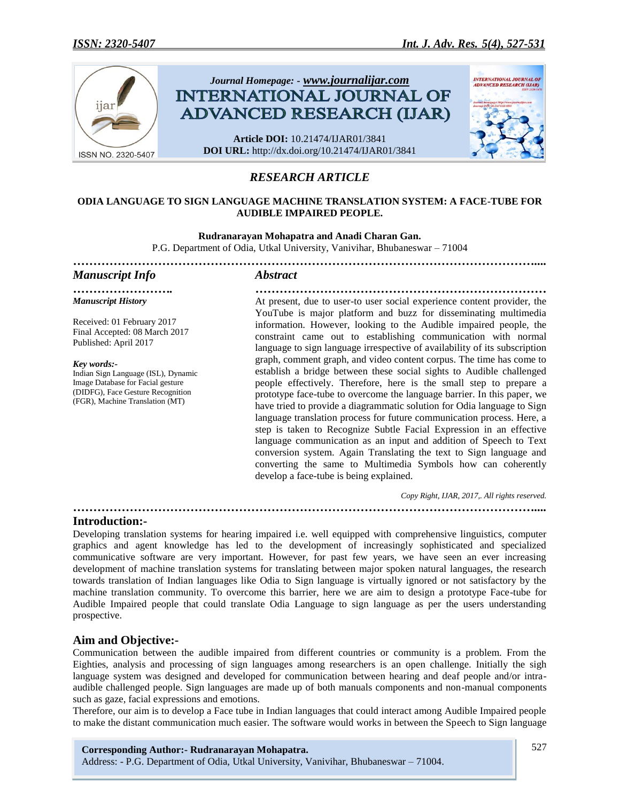

# *RESEARCH ARTICLE*

#### **ODIA LANGUAGE TO SIGN LANGUAGE MACHINE TRANSLATION SYSTEM: A FACE-TUBE FOR AUDIBLE IMPAIRED PEOPLE.**

**Rudranarayan Mohapatra and Anadi Charan Gan.** P.G. Department of Odia, Utkal University, Vanivihar, Bhubaneswar – 71004 *……………………………………………………………………………………………………....*

*……………………. ………………………………………………………………*

# *Manuscript Info Abstract*

*Manuscript History*

Received: 01 February 2017 Final Accepted: 08 March 2017 Published: April 2017

*Key words:-*

Indian Sign Language (ISL), Dynamic Image Database for Facial gesture (DIDFG), Face Gesture Recognition (FGR), Machine Translation (MT)

At present, due to user-to user social experience content provider, the YouTube is major platform and buzz for disseminating multimedia information. However, looking to the Audible impaired people, the constraint came out to establishing communication with normal language to sign language irrespective of availability of its subscription graph, comment graph, and video content corpus. The time has come to establish a bridge between these social sights to Audible challenged people effectively. Therefore, here is the small step to prepare a prototype face-tube to overcome the language barrier. In this paper, we have tried to provide a diagrammatic solution for Odia language to Sign language translation process for future communication process. Here, a step is taken to Recognize Subtle Facial Expression in an effective language communication as an input and addition of Speech to Text conversion system. Again Translating the text to Sign language and converting the same to Multimedia Symbols how can coherently develop a face-tube is being explained.

 *Copy Right, IJAR, 2017,. All rights reserved.*

*……………………………………………………………………………………………………....*

**Introduction:-**

Developing translation systems for hearing impaired i.e. well equipped with comprehensive linguistics, computer graphics and agent knowledge has led to the development of increasingly sophisticated and specialized communicative software are very important. However, for past few years, we have seen an ever increasing development of machine translation systems for translating between major spoken natural languages, the research towards translation of Indian languages like Odia to Sign language is virtually ignored or not satisfactory by the machine translation community. To overcome this barrier, here we are aim to design a prototype Face-tube for Audible Impaired people that could translate Odia Language to sign language as per the users understanding prospective.

# **Aim and Objective:-**

Communication between the audible impaired from different countries or community is a problem. From the Eighties, analysis and processing of sign languages among researchers is an open challenge. Initially the sigh language system was designed and developed for communication between hearing and deaf people and/or intraaudible challenged people. Sign languages are made up of both manuals components and non-manual components such as gaze, facial expressions and emotions.

Therefore, our aim is to develop a Face tube in Indian languages that could interact among Audible Impaired people to make the distant communication much easier. The software would works in between the Speech to Sign language

**Corresponding Author:- Rudranarayan Mohapatra.** Address: - P.G. Department of Odia, Utkal University, Vanivihar, Bhubaneswar – 71004.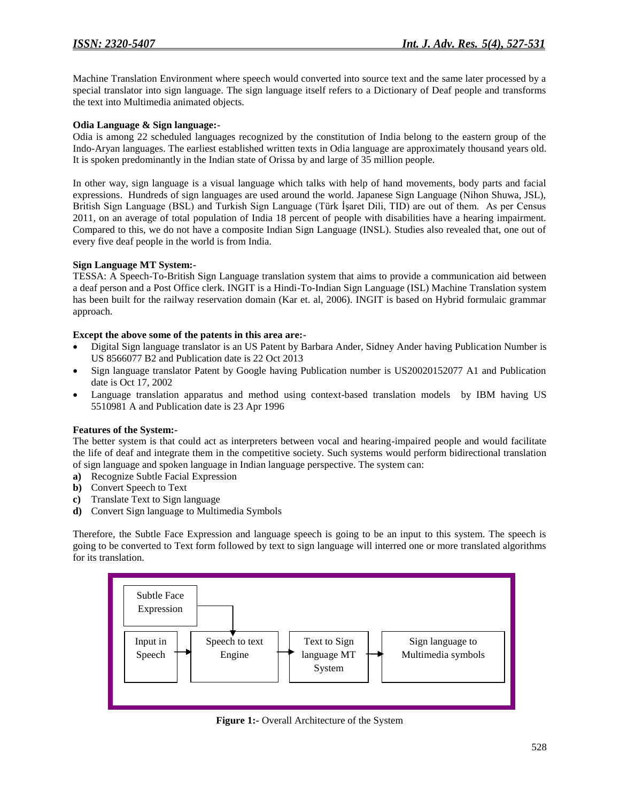Machine Translation Environment where speech would converted into source text and the same later processed by a special translator into sign language. The sign language itself refers to a Dictionary of Deaf people and transforms the text into Multimedia animated objects.

### **Odia Language & Sign language:-**

Odia is among 22 scheduled languages recognized by the constitution of India belong to the eastern group of the Indo-Aryan languages. The earliest established written texts in Odia language are approximately thousand years old. It is spoken predominantly in the Indian state of Orissa by and large of 35 million people.

In other way, sign language is a visual language which talks with help of hand movements, body parts and facial expressions. Hundreds of sign languages are used around the world. Japanese Sign Language (Nihon Shuwa, JSL), British Sign Language (BSL) and Turkish Sign Language (Türk İşaret Dili, TID) are out of them. As per Census 2011, on an average of total population of India 18 percent of people with disabilities have a hearing impairment. Compared to this, we do not have a composite Indian Sign Language (INSL). Studies also revealed that, one out of every five deaf people in the world is from India.

#### **Sign Language MT System:-**

TESSA: A Speech-To-British Sign Language translation system that aims to provide a communication aid between a deaf person and a Post Office clerk. INGIT is a Hindi-To-Indian Sign Language (ISL) Machine Translation system has been built for the railway reservation domain (Kar et. al, 2006). INGIT is based on Hybrid formulaic grammar approach.

#### **Except the above some of the patents in this area are:-**

- Digital Sign language translator is an US Patent by Barbara Ander, Sidney Ander having Publication Number is US 8566077 B2 and Publication date is 22 Oct 2013
- Sign language translator Patent by Google having Publication number is US20020152077 A1 and Publication date is Oct 17, 2002
- Language translation apparatus and method using context-based translation models by IBM having US 5510981 A and Publication date is 23 Apr 1996

#### **Features of the System:-**

The better system is that could act as interpreters between vocal and hearing-impaired people and would facilitate the life of deaf and integrate them in the competitive society. Such systems would perform bidirectional translation of sign language and spoken language in Indian language perspective. The system can:

- **a)** Recognize Subtle Facial Expression
- **b)** Convert Speech to Text
- **c)** Translate Text to Sign language
- **d)** Convert Sign language to Multimedia Symbols

Therefore, the Subtle Face Expression and language speech is going to be an input to this system. The speech is going to be converted to Text form followed by text to sign language will interred one or more translated algorithms for its translation.



**Figure 1:-** Overall Architecture of the System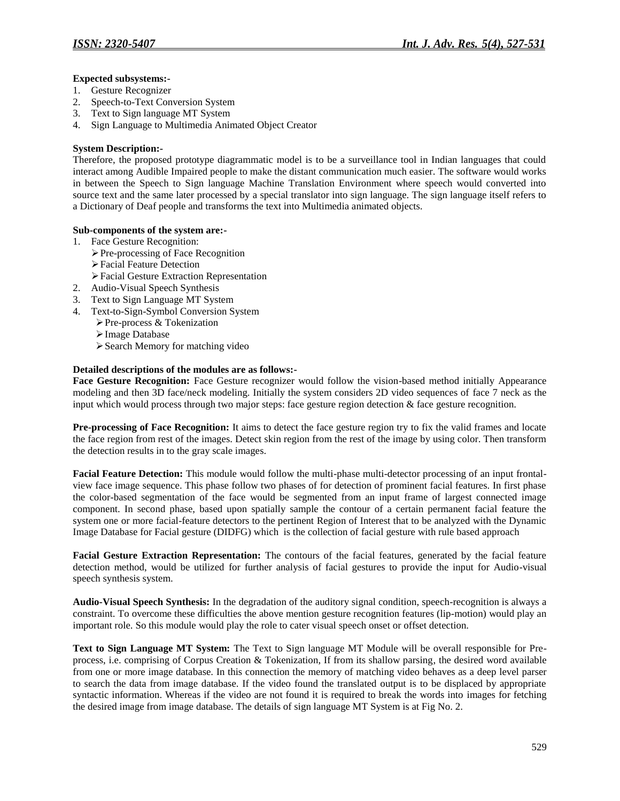### **Expected subsystems:-**

- 1. Gesture Recognizer
- 2. Speech-to-Text Conversion System
- 3. Text to Sign language MT System
- 4. Sign Language to Multimedia Animated Object Creator

#### **System Description:-**

Therefore, the proposed prototype diagrammatic model is to be a surveillance tool in Indian languages that could interact among Audible Impaired people to make the distant communication much easier. The software would works in between the Speech to Sign language Machine Translation Environment where speech would converted into source text and the same later processed by a special translator into sign language. The sign language itself refers to a Dictionary of Deaf people and transforms the text into Multimedia animated objects.

# **Sub-components of the system are:-**

- 1. Face Gesture Recognition:
	- Pre-processing of Face Recognition
	- Facial Feature Detection
	- Facial Gesture Extraction Representation
- 2. Audio-Visual Speech Synthesis
- 3. Text to Sign Language MT System
- 4. Text-to-Sign-Symbol Conversion System
	- Pre-process & Tokenization
	- Image Database
	- Search Memory for matching video

#### **Detailed descriptions of the modules are as follows:-**

**Face Gesture Recognition:** Face Gesture recognizer would follow the vision-based method initially Appearance modeling and then 3D face/neck modeling. Initially the system considers 2D video sequences of face 7 neck as the input which would process through two major steps: face gesture region detection & face gesture recognition.

**Pre-processing of Face Recognition:** It aims to detect the face gesture region try to fix the valid frames and locate the face region from rest of the images. Detect skin region from the rest of the image by using color. Then transform the detection results in to the gray scale images.

**Facial Feature Detection:** This module would follow the multi-phase multi-detector processing of an input frontalview face image sequence. This phase follow two phases of for detection of prominent facial features. In first phase the color-based segmentation of the face would be segmented from an input frame of largest connected image component. In second phase, based upon spatially sample the contour of a certain permanent facial feature the system one or more facial-feature detectors to the pertinent Region of Interest that to be analyzed with the Dynamic Image Database for Facial gesture (DIDFG) which is the collection of facial gesture with rule based approach

**Facial Gesture Extraction Representation:** The contours of the facial features, generated by the facial feature detection method, would be utilized for further analysis of facial gestures to provide the input for Audio-visual speech synthesis system.

**Audio-Visual Speech Synthesis:** In the degradation of the auditory signal condition, speech-recognition is always a constraint. To overcome these difficulties the above mention gesture recognition features (lip-motion) would play an important role. So this module would play the role to cater visual speech onset or offset detection.

**Text to Sign Language MT System:** The Text to Sign language MT Module will be overall responsible for Preprocess, i.e. comprising of Corpus Creation & Tokenization, If from its shallow parsing, the desired word available from one or more image database. In this connection the memory of matching video behaves as a deep level parser to search the data from image database. If the video found the translated output is to be displaced by appropriate syntactic information. Whereas if the video are not found it is required to break the words into images for fetching the desired image from image database. The details of sign language MT System is at Fig No. 2.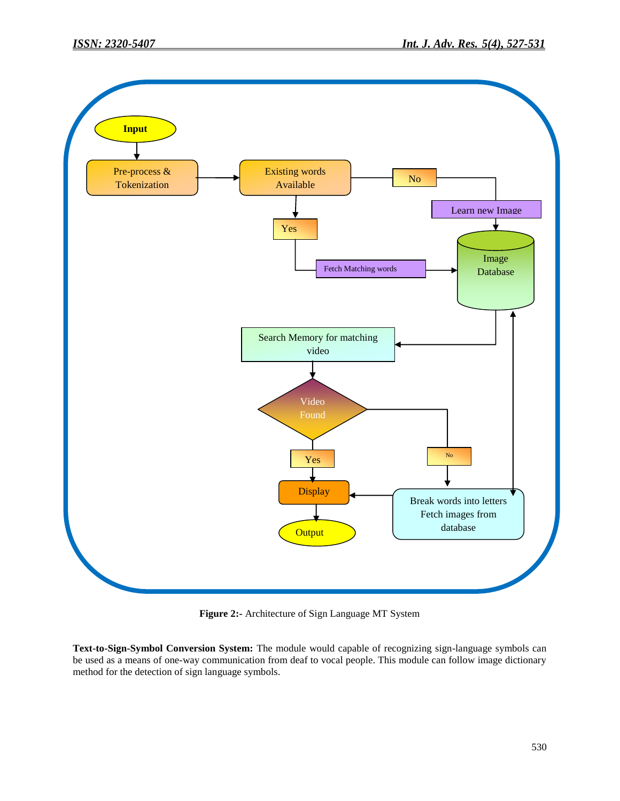

**Figure 2:-** Architecture of Sign Language MT System

**Text-to-Sign-Symbol Conversion System:** The module would capable of recognizing sign-language symbols can be used as a means of one-way communication from deaf to vocal people. This module can follow image dictionary method for the detection of sign language symbols.